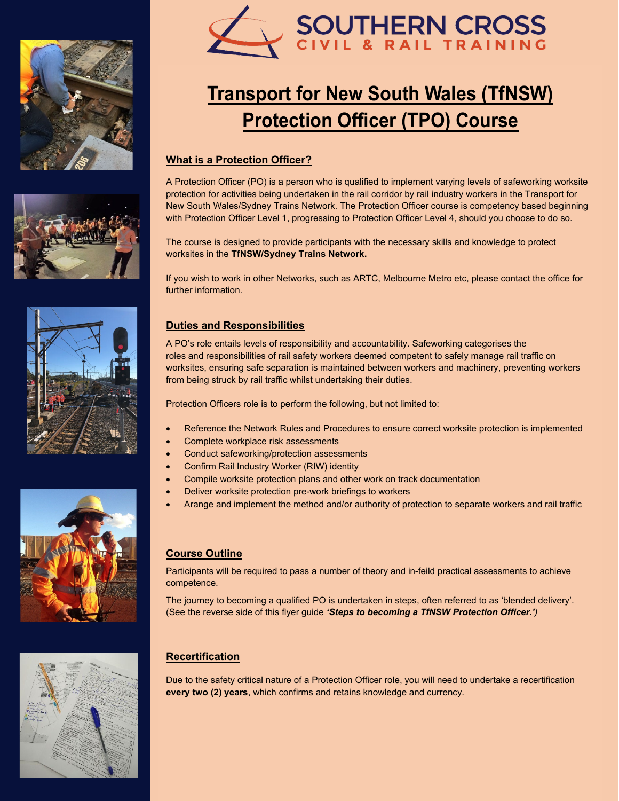











## **Transport for New South Wales (TfNSW) Protection Officer (TPO) Course**

#### **What is a Protection Officer?**

A Protection Officer (PO) is a person who is qualified to implement varying levels of safeworking worksite protection for activities being undertaken in the rail corridor by rail industry workers in the Transport for New South Wales/Sydney Trains Network. The Protection Officer course is competency based beginning with Protection Officer Level 1, progressing to Protection Officer Level 4, should you choose to do so.

The course is designed to provide participants with the necessary skills and knowledge to protect worksites in the **TfNSW/Sydney Trains Network.**

If you wish to work in other Networks, such as ARTC, Melbourne Metro etc, please contact the office for further information.

#### **Duties and Responsibilities**

A PO's role entails levels of responsibility and accountability. Safeworking categorises the roles and responsibilities of rail safety workers deemed competent to safely manage rail traffic on worksites, ensuring safe separation is maintained between workers and machinery, preventing workers from being struck by rail traffic whilst undertaking their duties.

Protection Officers role is to perform the following, but not limited to:

- Reference the Network Rules and Procedures to ensure correct worksite protection is implemented
- Complete workplace risk assessments
- Conduct safeworking/protection assessments
- Confirm Rail Industry Worker (RIW) identity
- Compile worksite protection plans and other work on track documentation
- Deliver worksite protection pre-work briefings to workers
- Arange and implement the method and/or authority of protection to separate workers and rail traffic

#### **Course Outline**

Participants will be required to pass a number of theory and in-feild practical assessments to achieve competence.

The journey to becoming a qualified PO is undertaken in steps, often referred to as 'blended delivery'. (See the reverse side of this flyer guide *'Steps to becoming a TfNSW Protection Officer.')*

#### **Recertification**

Due to the safety critical nature of a Protection Officer role, you will need to undertake a recertification **every two (2) years**, which confirms and retains knowledge and currency.